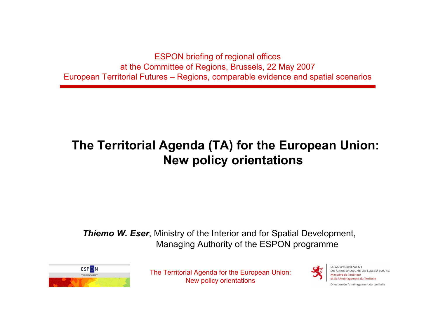ESPON briefing of regional offices at the Committee of Regions, Brussels, 22 May 2007 European Territorial Futures – Regions, comparable evidence and spatial scenarios

# **The Territorial Agenda (TA) for the European Union: New policy orientations**

*Thiemo W. Eser*, Ministry of the Interior and for Spatial Development, Managing Authority of the ESPON programme



The Territorial Agenda for the European Union: New policy orientations



**F GOUVERNEMENT** DU GRAND-DUCHÉ DE LUXEMBOURG et de l'Aménagement du Territoire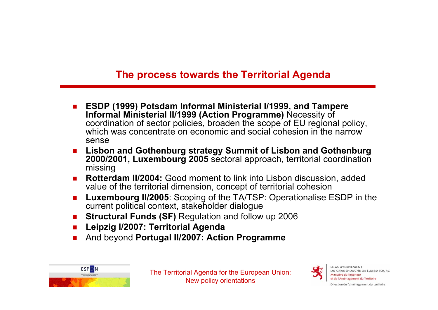#### **The process towards the Territorial Agenda**

- **ESDP (1999) Potsdam Informal Ministerial I/1999, and Tampere Informal Ministerial II/1999 (Action Programme)** Necessity of coordination of sector policies, broaden the scope of EU regional policy, which was concentrate on economic and social cohesion in the narrow sense
- **Lisbon and Gothenburg strategy Summit of Lisbon and Gothenburg 2000/2001, Luxembourg 2005** sectoral approach, territorial coordination missing
- П **Rotterdam II/2004:** Good moment to link into Lisbon discussion, added value of the territorial dimension, concept of territorial cohesion
- П **Luxembourg II/2005**: Scoping of the TA/TSP: Operationalise ESDP in the current political context, stakeholder dialogue
- × **Structural Funds (SF)** Regulation and follow up 2006
- П **Leipzig I/2007: Territorial Agenda**
- × And beyond **Portugal II/2007: Action Programme**



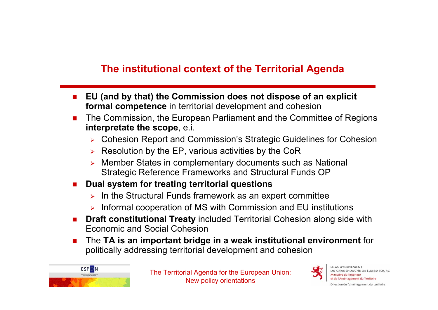#### **The institutional context of the Territorial Agenda**

- r. **EU (and by that) the Commission does not dispose of an explicit formal competence** in territorial development and cohesion
- n. The Commission, the European Parliament and the Committee of Regions **interpretate the scope**, e.i.
	- ¾ Cohesion Report and Commission's Strategic Guidelines for Cohesion
	- ¾Resolution by the EP, various activities by the CoR
	- ¾ Member States in complementary documents such as National Strategic Reference Frameworks and Structural Funds OP
- n. **Dual system for treating territorial questions** 
	- $\triangleright$  In the Structural Funds framework as an expert committee
	- ¾Informal cooperation of MS with Commission and EU institutions
- **Draft constitutional Treaty** included Territorial Cohesion along side with Economic and Social Cohesion
- $\mathcal{L}^{\text{max}}_{\text{max}}$  The **TA is an important bridge in a weak institutional environment** for politically addressing territorial development and cohesion



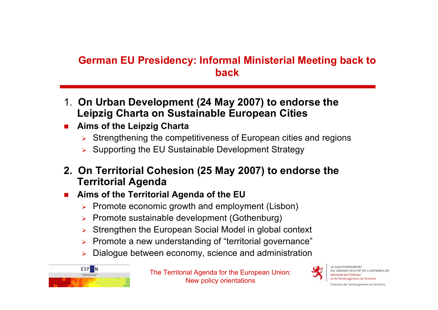#### **German EU Presidency: Informal Ministerial Meeting back to back**

- 1. **On Urban Development (24 May 2007) to endorse the Leipzig Charta on Sustainable European Cities**
- $\mathcal{L}_{\mathcal{A}}$  **Aims of the Leipzig Charta** 
	- ¾Strengthening the competitiveness of European cities and regions
	- ¾ Supporting the EU Sustainable Development Strategy
- **2. On Territorial Cohesion (25 May 2007) to endorse the Territorial Agenda**
- × **Aims of the Territorial Agenda of the EU**
	- ¾Promote economic growth and employment (Lisbon)
	- ¾ Promote sustainable development (Gothenburg)
	- ¾Strengthen the European Social Model in global context
	- ¾Promote a new understanding of "territorial governance"
	- ¾Dialogue between economy, science and administration



The Territorial Agenda for the European Union: New policy orientations

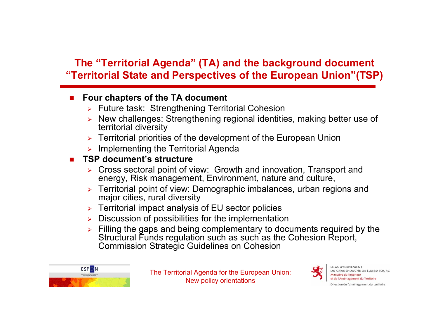## **The "Territorial Agenda" (TA) and the background document "Territorial State and Perspectives of the European Union"(TSP)**

#### $\mathcal{L}_{\mathcal{A}}$ **Four chapters of the TA document**

- ¾ Future task: Strengthening Territorial Cohesion
- ¾ New challenges: Strengthening regional identities, making better use of territorial diversity
- $\triangleright$  Territorial priorities of the development of the European Union
- $\blacktriangleright$ Implementing the Territorial Agenda

#### $\mathcal{L}_{\mathcal{A}}$ **TSP document's structure**

- ¾ Cross sectoral point of view: Growth and innovation, Transport and energy, Risk management, Environment, nature and culture,
- ¾ Territorial point of view: Demographic imbalances, urban regions and major cities, rural diversity
- $\triangleright$  Territorial impact analysis of EU sector policies
- $\blacktriangleright$ Discussion of possibilities for the implementation
- ¾ Filling the gaps and being complementary to documents required by the Structural Funds regulation such as such as the Cohesion Report, Commission Strategic Guidelines on Cohesion



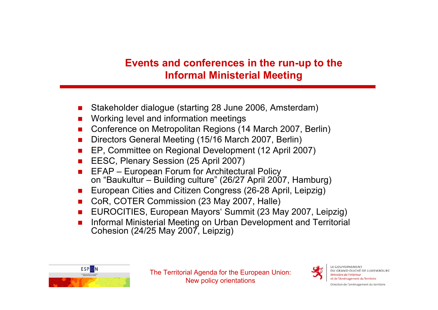### **Events and conferences in the run-up to the Informal Ministerial Meeting**

- n. Stakeholder dialogue (starting 28 June 2006, Amsterdam)
- r. Working level and information meetings
- r. Conference on Metropolitan Regions (14 March 2007, Berlin)
- n. Directors General Meeting (15/16 March 2007, Berlin)
- r. EP, Committee on Regional Development (12 April 2007)
- r. EESC, Plenary Session (25 April 2007)
- n. EFAP – European Forum for Architectural Policy on "Baukultur – Building culture" (26/27 April 2007, Hamburg)
- n. European Cities and Citizen Congress (26-28 April, Leipzig)
- n. CoR, COTER Commission (23 May 2007, Halle)
- r. EUROCITIES, European Mayors' Summit (23 May 2007, Leipzig)
- n. Informal Ministerial Meeting on Urban Development and Territorial Cohesion (24/25 May 2007, Leipzig)



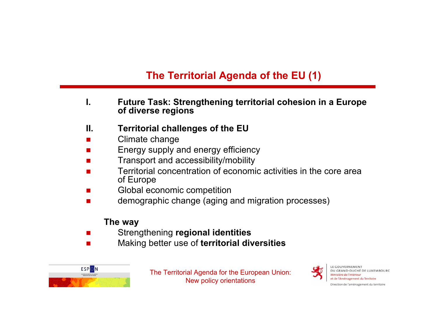## **The Territorial Agenda of the EU (1)**

- **I. Future Task: Strengthening territorial cohesion in a Europe of diverse regions**
- **II. Territorial challenges of the EU**
- F Climate change
- × Energy supply and energy efficiency
- F Transport and accessibility/mobility
- П Territorial concentration of economic activities in the core area of Europe
- П Global economic competition
- × demographic change (aging and migration processes)

#### **The way**

- × Strengthening **regional identities**
- × Making better use of **territorial diversities**



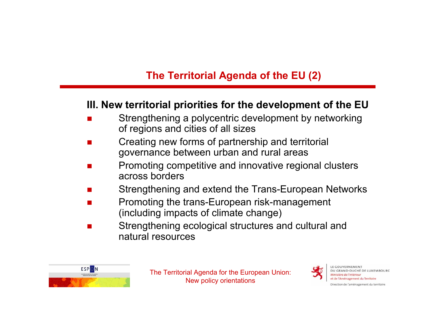## **The Territorial Agenda of the EU (2)**

#### **III. New territorial priorities for the development of the EU**

- П Strengthening a polycentric development by networking of regions and cities of all sizes
- П Creating new forms of partnership and territorial governance between urban and rural areas
- П Promoting competitive and innovative regional clusters across borders
- П Strengthening and extend the Trans-European Networks
- П Promoting the trans-European risk-management (including impacts of climate change)
- × Strengthening ecological structures and cultural and natural resources



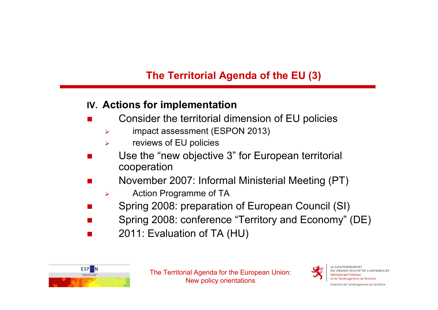## **The Territorial Agenda of the EU (3)**

#### **IV. Actions for implementation**

- b. Consider the territorial dimension of EU policies
	- $\blacktriangleright$ impact assessment (ESPON 2013)
	- $\blacktriangleright$ reviews of EU policies
- Π Use the "new objective 3" for European territorial cooperation
- Π November 2007: Informal Ministerial Meeting (PT)
	- $\blacktriangleright$ Action Programme of TA
- Π Spring 2008: preparation of European Council (SI)
- П Spring 2008: conference "Territory and Economy" (DE)
- Π 2011: Evaluation of TA (HU)



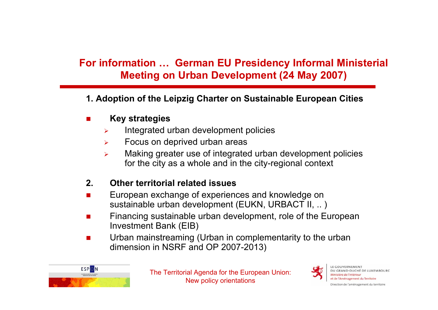## **For information … German EU Presidency Informal Ministerial Meeting on Urban Development (24 May 2007)**

#### **1. Adoption of the Leipzig Charter on Sustainable European Cities**

#### П **Key strategies**

- $\blacktriangleright$ Integrated urban development policies
- ¾Focus on deprived urban areas
- ¾ Making greater use of integrated urban development policies for the city as a whole and in the city-regional context

#### **2. Other territorial related issues**

- × European exchange of experiences and knowledge on sustainable urban development (EUKN, URBACT II, .. )
- × Financing sustainable urban development, role of the European Investment Bank (EIB)
- × Urban mainstreaming (Urban in complementarity to the urban dimension in NSRF and OP 2007-2013)



The Territorial Agenda for the European Union: New policy orientations